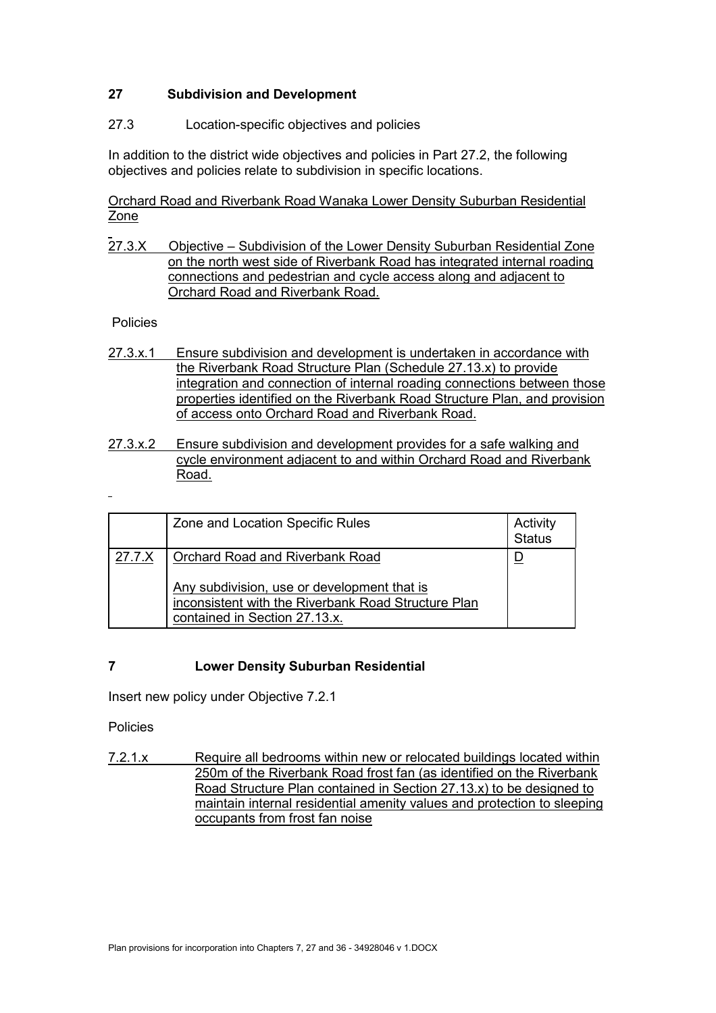## **27 Subdivision and Development**

## 27.3 Location-specific objectives and policies

In addition to the district wide objectives and policies in Part 27.2, the following objectives and policies relate to subdivision in specific locations.

Orchard Road and Riverbank Road Wanaka Lower Density Suburban Residential Zone

27.3.X Objective – Subdivision of the Lower Density Suburban Residential Zone on the north west side of Riverbank Road has integrated internal roading connections and pedestrian and cycle access along and adjacent to Orchard Road and Riverbank Road.

#### Policies

- 27.3.x.1 Ensure subdivision and development is undertaken in accordance with the Riverbank Road Structure Plan (Schedule 27.13.x) to provide integration and connection of internal roading connections between those properties identified on the Riverbank Road Structure Plan, and provision of access onto Orchard Road and Riverbank Road.
- 27.3.x.2 Ensure subdivision and development provides for a safe walking and cycle environment adjacent to and within Orchard Road and Riverbank Road.

|        | Zone and Location Specific Rules                                                                                                                                              | Activity<br><b>Status</b> |
|--------|-------------------------------------------------------------------------------------------------------------------------------------------------------------------------------|---------------------------|
| 27.7.X | <b>Orchard Road and Riverbank Road</b><br>Any subdivision, use or development that is<br>inconsistent with the Riverbank Road Structure Plan<br>contained in Section 27.13.x. |                           |

## **7 Lower Density Suburban Residential**

Insert new policy under Objective 7.2.1

Policies

7.2.1.x Require all bedrooms within new or relocated buildings located within 250m of the Riverbank Road frost fan (as identified on the Riverbank Road Structure Plan contained in Section 27.13.x) to be designed to maintain internal residential amenity values and protection to sleeping occupants from frost fan noise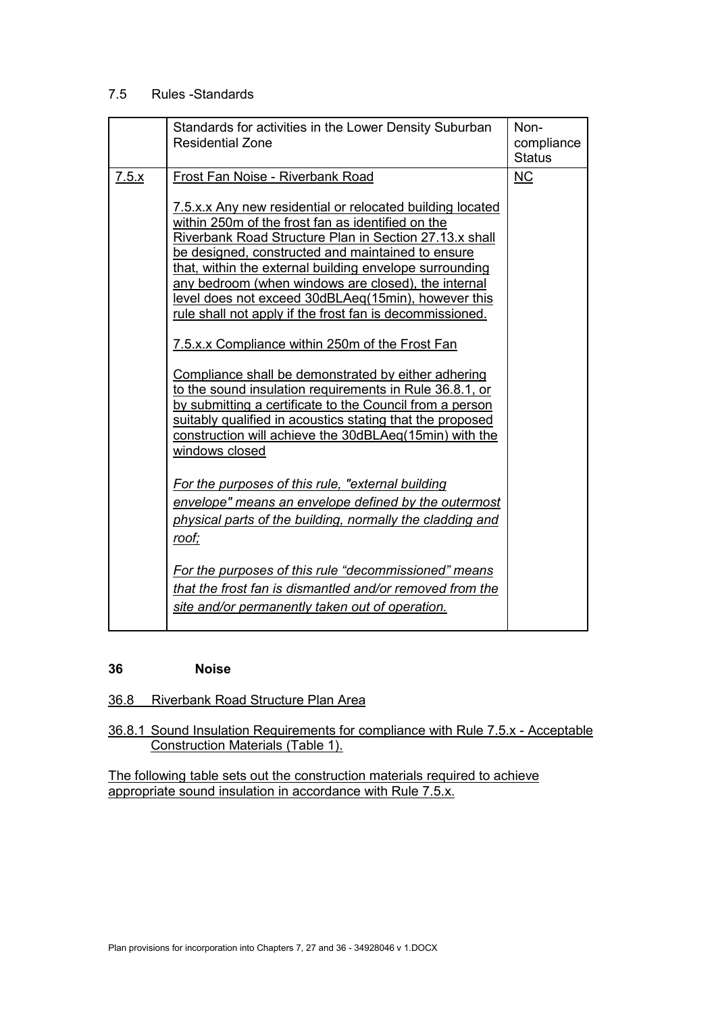# 7.5 Rules -Standards

|       | Standards for activities in the Lower Density Suburban<br><b>Residential Zone</b>                                                                                                                                                                                                                                                                                                                                                                                                                                                                                                                                                                                                                                                                                                                                                                                                                                                                                                                                                                                                                                                                                                              | Non-<br>compliance<br><b>Status</b> |
|-------|------------------------------------------------------------------------------------------------------------------------------------------------------------------------------------------------------------------------------------------------------------------------------------------------------------------------------------------------------------------------------------------------------------------------------------------------------------------------------------------------------------------------------------------------------------------------------------------------------------------------------------------------------------------------------------------------------------------------------------------------------------------------------------------------------------------------------------------------------------------------------------------------------------------------------------------------------------------------------------------------------------------------------------------------------------------------------------------------------------------------------------------------------------------------------------------------|-------------------------------------|
| 7.5.x | Frost Fan Noise - Riverbank Road<br>7.5.x.x Any new residential or relocated building located<br>within 250m of the frost fan as identified on the<br>Riverbank Road Structure Plan in Section 27.13.x shall<br>be designed, constructed and maintained to ensure<br>that, within the external building envelope surrounding<br>any bedroom (when windows are closed), the internal<br>level does not exceed 30dBLAeq(15min), however this<br>rule shall not apply if the frost fan is decommissioned.<br>7.5.x.x Compliance within 250m of the Frost Fan<br>Compliance shall be demonstrated by either adhering<br>to the sound insulation requirements in Rule 36.8.1, or<br>by submitting a certificate to the Council from a person<br>suitably qualified in acoustics stating that the proposed<br>construction will achieve the 30dBLAeq(15min) with the<br>windows closed<br>For the purposes of this rule, "external building<br>envelope" means an envelope defined by the outermost<br>physical parts of the building, normally the cladding and<br><u>roof;</u><br>For the purposes of this rule "decommissioned" means<br>that the frost fan is dismantled and/or removed from the | <b>NC</b>                           |
|       | site and/or permanently taken out of operation.                                                                                                                                                                                                                                                                                                                                                                                                                                                                                                                                                                                                                                                                                                                                                                                                                                                                                                                                                                                                                                                                                                                                                |                                     |

#### **36 Noise**

36.8 Riverbank Road Structure Plan Area

36.8.1 Sound Insulation Requirements for compliance with Rule 7.5.x - Acceptable Construction Materials (Table 1).

The following table sets out the construction materials required to achieve appropriate sound insulation in accordance with Rule 7.5.x.